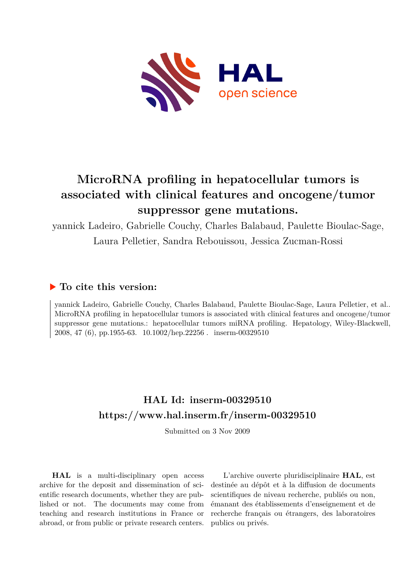

# **MicroRNA profiling in hepatocellular tumors is associated with clinical features and oncogene/tumor suppressor gene mutations.**

yannick Ladeiro, Gabrielle Couchy, Charles Balabaud, Paulette Bioulac-Sage,

Laura Pelletier, Sandra Rebouissou, Jessica Zucman-Rossi

# **To cite this version:**

yannick Ladeiro, Gabrielle Couchy, Charles Balabaud, Paulette Bioulac-Sage, Laura Pelletier, et al.. MicroRNA profiling in hepatocellular tumors is associated with clinical features and oncogene/tumor suppressor gene mutations.: hepatocellular tumors miRNA profiling. Hepatology, Wiley-Blackwell, 2008, 47 (6), pp.1955-63.  $10.1002$ /hep.22256. inserm-00329510

# **HAL Id: inserm-00329510 <https://www.hal.inserm.fr/inserm-00329510>**

Submitted on 3 Nov 2009

**HAL** is a multi-disciplinary open access archive for the deposit and dissemination of scientific research documents, whether they are published or not. The documents may come from teaching and research institutions in France or abroad, or from public or private research centers.

L'archive ouverte pluridisciplinaire **HAL**, est destinée au dépôt et à la diffusion de documents scientifiques de niveau recherche, publiés ou non, émanant des établissements d'enseignement et de recherche français ou étrangers, des laboratoires publics ou privés.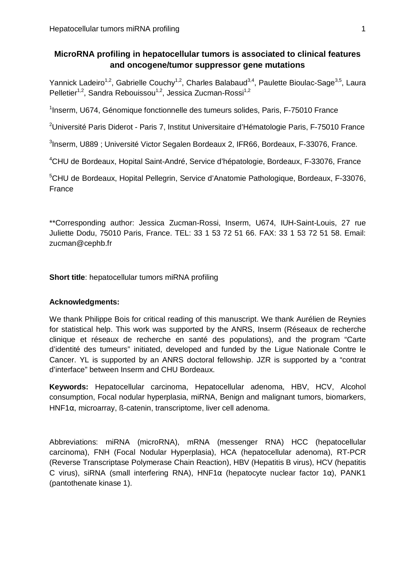## **MicroRNA profiling in hepatocellular tumors is associated to clinical features and oncogene/tumor suppressor gene mutations**

Yannick Ladeiro<sup>1,2</sup>, Gabrielle Couchy<sup>1,2</sup>, Charles Balabaud<sup>3,4</sup>, Paulette Bioulac-Sage<sup>3,5</sup>, Laura Pelletier<sup>1,2</sup>, Sandra Rebouissou<sup>1,2</sup>, Jessica Zucman-Rossi<sup>1,2</sup>

<sup>1</sup>Inserm, U674, Génomique fonctionnelle des tumeurs solides, Paris, F-75010 France

<sup>2</sup>Université Paris Diderot - Paris 7, Institut Universitaire d'Hématologie Paris, F-75010 France

<sup>3</sup>Inserm, U889 ; Université Victor Segalen Bordeaux 2, IFR66, Bordeaux, F-33076, France.

<sup>4</sup>CHU de Bordeaux, Hopital Saint-André, Service d'hépatologie, Bordeaux, F-33076, France

<sup>5</sup>CHU de Bordeaux, Hopital Pellegrin, Service d'Anatomie Pathologique, Bordeaux, F-33076, France

\*\*Corresponding author: Jessica Zucman-Rossi, Inserm, U674, IUH-Saint-Louis, 27 rue Juliette Dodu, 75010 Paris, France. TEL: 33 1 53 72 51 66. FAX: 33 1 53 72 51 58. Email: zucman@cephb.fr

**Short title**: hepatocellular tumors miRNA profiling

#### **Acknowledgments:**

We thank Philippe Bois for critical reading of this manuscript. We thank Aurélien de Reynies for statistical help. This work was supported by the ANRS, Inserm (Réseaux de recherche clinique et réseaux de recherche en santé des populations), and the program "Carte d'identité des tumeurs" initiated, developed and funded by the Ligue Nationale Contre le Cancer. YL is supported by an ANRS doctoral fellowship. JZR is supported by a "contrat d'interface" between Inserm and CHU Bordeaux.

**Keywords:** Hepatocellular carcinoma, Hepatocellular adenoma, HBV, HCV, Alcohol consumption, Focal nodular hyperplasia, miRNA, Benign and malignant tumors, biomarkers, HNF1α, microarray, ß-catenin, transcriptome, liver cell adenoma.

Abbreviations: miRNA (microRNA), mRNA (messenger RNA) HCC (hepatocellular carcinoma), FNH (Focal Nodular Hyperplasia), HCA (hepatocellular adenoma), RT-PCR (Reverse Transcriptase Polymerase Chain Reaction), HBV (Hepatitis B virus), HCV (hepatitis C virus), siRNA (small interfering RNA), HNF1α (hepatocyte nuclear factor 1α), PANK1 (pantothenate kinase 1).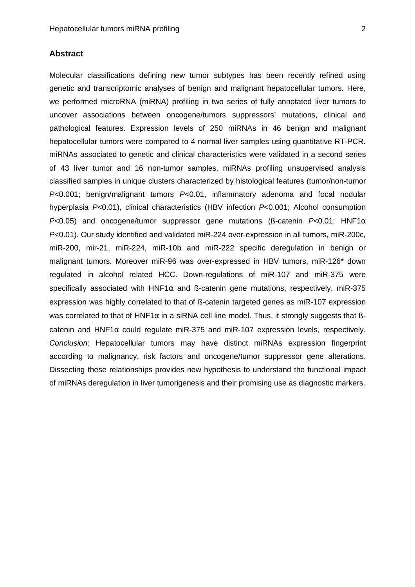### **Abstract**

Molecular classifications defining new tumor subtypes has been recently refined using genetic and transcriptomic analyses of benign and malignant hepatocellular tumors. Here, we performed microRNA (miRNA) profiling in two series of fully annotated liver tumors to uncover associations between oncogene/tumors suppressors' mutations, clinical and pathological features. Expression levels of 250 miRNAs in 46 benign and malignant hepatocellular tumors were compared to 4 normal liver samples using quantitative RT-PCR. miRNAs associated to genetic and clinical characteristics were validated in a second series of 43 liver tumor and 16 non-tumor samples. miRNAs profiling unsupervised analysis classified samples in unique clusters characterized by histological features (tumor/non-tumor P<0.001; benign/malignant tumors P<0.01, inflammatory adenoma and focal nodular hyperplasia P<0.01), clinical characteristics (HBV infection P<0.001; Alcohol consumption  $P<0.05$ ) and oncogene/tumor suppressor gene mutations (ß-catenin  $P<0.01$ ; HNF1 $\alpha$ P<0.01). Our study identified and validated miR-224 over-expression in all tumors, miR-200c, miR-200, mir-21, miR-224, miR-10b and miR-222 specific deregulation in benign or malignant tumors. Moreover miR-96 was over-expressed in HBV tumors, miR-126\* down regulated in alcohol related HCC. Down-regulations of miR-107 and miR-375 were specifically associated with HNF1 $\alpha$  and ß-catenin gene mutations, respectively. miR-375 expression was highly correlated to that of ß-catenin targeted genes as miR-107 expression was correlated to that of HNF1 $\alpha$  in a siRNA cell line model. Thus, it strongly suggests that ßcatenin and HNF1 $\alpha$  could regulate miR-375 and miR-107 expression levels, respectively. Conclusion: Hepatocellular tumors may have distinct miRNAs expression fingerprint according to malignancy, risk factors and oncogene/tumor suppressor gene alterations. Dissecting these relationships provides new hypothesis to understand the functional impact of miRNAs deregulation in liver tumorigenesis and their promising use as diagnostic markers.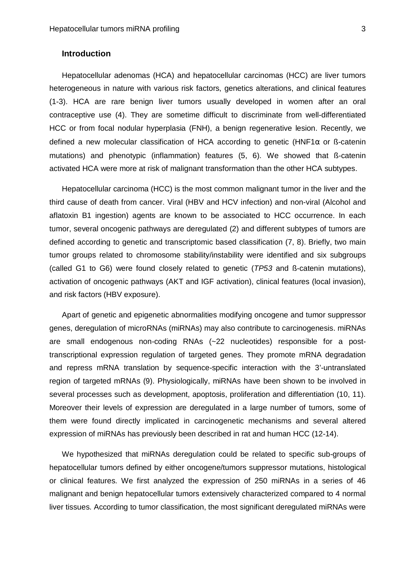#### **Introduction**

Hepatocellular adenomas (HCA) and hepatocellular carcinomas (HCC) are liver tumors heterogeneous in nature with various risk factors, genetics alterations, and clinical features (1-3). HCA are rare benign liver tumors usually developed in women after an oral contraceptive use (4). They are sometime difficult to discriminate from well-differentiated HCC or from focal nodular hyperplasia (FNH), a benign regenerative lesion. Recently, we defined a new molecular classification of HCA according to genetic (HNF1 $\alpha$  or ß-catenin mutations) and phenotypic (inflammation) features (5, 6). We showed that ß-catenin activated HCA were more at risk of malignant transformation than the other HCA subtypes.

Hepatocellular carcinoma (HCC) is the most common malignant tumor in the liver and the third cause of death from cancer. Viral (HBV and HCV infection) and non-viral (Alcohol and aflatoxin B1 ingestion) agents are known to be associated to HCC occurrence. In each tumor, several oncogenic pathways are deregulated (2) and different subtypes of tumors are defined according to genetic and transcriptomic based classification (7, 8). Briefly, two main tumor groups related to chromosome stability/instability were identified and six subgroups (called G1 to G6) were found closely related to genetic (TP53 and ß-catenin mutations), activation of oncogenic pathways (AKT and IGF activation), clinical features (local invasion), and risk factors (HBV exposure).

Apart of genetic and epigenetic abnormalities modifying oncogene and tumor suppressor genes, deregulation of microRNAs (miRNAs) may also contribute to carcinogenesis. miRNAs are small endogenous non-coding RNAs (~22 nucleotides) responsible for a posttranscriptional expression regulation of targeted genes. They promote mRNA degradation and repress mRNA translation by sequence-specific interaction with the 3'-untranslated region of targeted mRNAs (9). Physiologically, miRNAs have been shown to be involved in several processes such as development, apoptosis, proliferation and differentiation (10, 11). Moreover their levels of expression are deregulated in a large number of tumors, some of them were found directly implicated in carcinogenetic mechanisms and several altered expression of miRNAs has previously been described in rat and human HCC (12-14).

We hypothesized that miRNAs deregulation could be related to specific sub-groups of hepatocellular tumors defined by either oncogene/tumors suppressor mutations, histological or clinical features. We first analyzed the expression of 250 miRNAs in a series of 46 malignant and benign hepatocellular tumors extensively characterized compared to 4 normal liver tissues. According to tumor classification, the most significant deregulated miRNAs were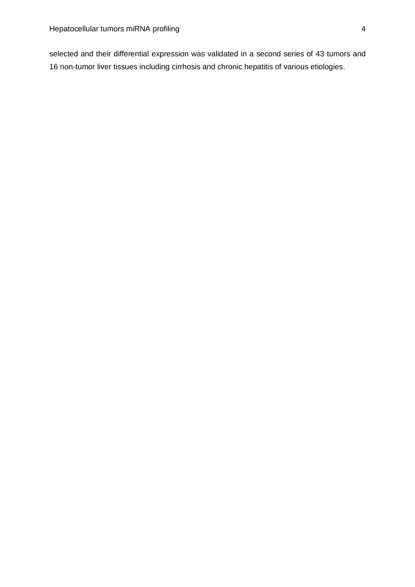selected and their differential expression was validated in a second series of 43 tumors and 16 non-tumor liver tissues including cirrhosis and chronic hepatitis of various etiologies.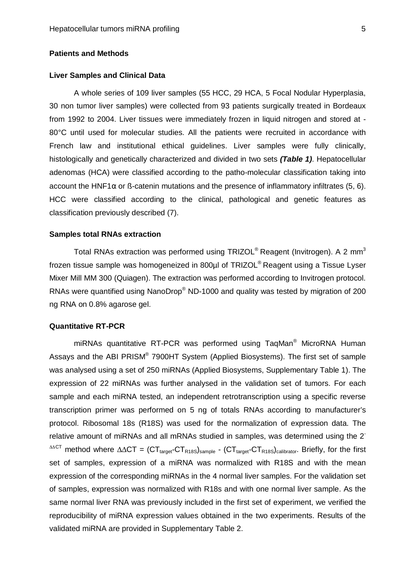#### **Patients and Methods**

#### **Liver Samples and Clinical Data**

A whole series of 109 liver samples (55 HCC, 29 HCA, 5 Focal Nodular Hyperplasia, 30 non tumor liver samples) were collected from 93 patients surgically treated in Bordeaux from 1992 to 2004. Liver tissues were immediately frozen in liquid nitrogen and stored at - 80°C until used for molecular studies. All the patients were recruited in accordance with French law and institutional ethical guidelines. Liver samples were fully clinically, histologically and genetically characterized and divided in two sets **(Table 1)**. Hepatocellular adenomas (HCA) were classified according to the patho-molecular classification taking into account the HNF1 $\alpha$  or  $\beta$ -catenin mutations and the presence of inflammatory infiltrates (5, 6). HCC were classified according to the clinical, pathological and genetic features as classification previously described (7).

#### **Samples total RNAs extraction**

Total RNAs extraction was performed using TRIZOL<sup>®</sup> Reagent (Invitrogen). A 2 mm<sup>3</sup> frozen tissue sample was homogeneized in 800µl of TRIZOL<sup>®</sup> Reagent using a Tissue Lyser Mixer Mill MM 300 (Quiagen). The extraction was performed according to Invitrogen protocol. RNAs were quantified using NanoDrop® ND-1000 and quality was tested by migration of 200 ng RNA on 0.8% agarose gel.

#### **Quantitative RT-PCR**

miRNAs quantitative RT-PCR was performed using TaqMan<sup>®</sup> MicroRNA Human Assays and the ABI PRISM® 7900HT System (Applied Biosystems). The first set of sample was analysed using a set of 250 miRNAs (Applied Biosystems, Supplementary Table 1). The expression of 22 miRNAs was further analysed in the validation set of tumors. For each sample and each miRNA tested, an independent retrotranscription using a specific reverse transcription primer was performed on 5 ng of totals RNAs according to manufacturer's protocol. Ribosomal 18s (R18S) was used for the normalization of expression data. The relative amount of miRNAs and all mRNAs studied in samples, was determined using the 2-  $^{\triangle\triangle CT}$  method where  $\triangle \triangle CT = (CT_{\text{target}}-CT_{\text{R18S}})_{\text{samole}} - (CT_{\text{target}}-CT_{\text{R18S}})_{\text{calibration}}$ . Briefly, for the first set of samples, expression of a miRNA was normalized with R18S and with the mean expression of the corresponding miRNAs in the 4 normal liver samples. For the validation set of samples, expression was normalized with R18s and with one normal liver sample. As the same normal liver RNA was previously included in the first set of experiment, we verified the reproducibility of miRNA expression values obtained in the two experiments. Results of the validated miRNA are provided in Supplementary Table 2.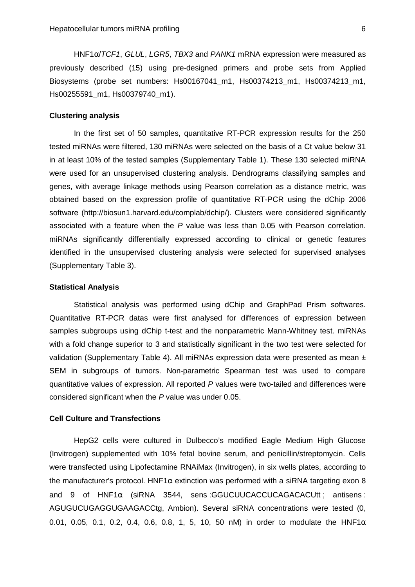HNF1α/TCF1, GLUL, LGR5, TBX3 and PANK1 mRNA expression were measured as previously described (15) using pre-designed primers and probe sets from Applied Biosystems (probe set numbers: Hs00167041\_m1, Hs00374213\_m1, Hs00374213\_m1, Hs00255591\_m1, Hs00379740\_m1).

#### **Clustering analysis**

In the first set of 50 samples, quantitative RT-PCR expression results for the 250 tested miRNAs were filtered, 130 miRNAs were selected on the basis of a Ct value below 31 in at least 10% of the tested samples (Supplementary Table 1). These 130 selected miRNA were used for an unsupervised clustering analysis. Dendrograms classifying samples and genes, with average linkage methods using Pearson correlation as a distance metric, was obtained based on the expression profile of quantitative RT-PCR using the dChip 2006 software (http://biosun1.harvard.edu/complab/dchip/). Clusters were considered significantly associated with a feature when the P value was less than 0.05 with Pearson correlation. miRNAs significantly differentially expressed according to clinical or genetic features identified in the unsupervised clustering analysis were selected for supervised analyses (Supplementary Table 3).

#### **Statistical Analysis**

Statistical analysis was performed using dChip and GraphPad Prism softwares. Quantitative RT-PCR datas were first analysed for differences of expression between samples subgroups using dChip t-test and the nonparametric Mann-Whitney test. miRNAs with a fold change superior to 3 and statistically significant in the two test were selected for validation (Supplementary Table 4). All miRNAs expression data were presented as mean  $\pm$ SEM in subgroups of tumors. Non-parametric Spearman test was used to compare quantitative values of expression. All reported P values were two-tailed and differences were considered significant when the P value was under 0.05.

#### **Cell Culture and Transfections**

HepG2 cells were cultured in Dulbecco's modified Eagle Medium High Glucose (Invitrogen) supplemented with 10% fetal bovine serum, and penicillin/streptomycin. Cells were transfected using Lipofectamine RNAiMax (Invitrogen), in six wells plates, according to the manufacturer's protocol. HNF1 $\alpha$  extinction was performed with a siRNA targeting exon 8 and 9 of  $HNF1\alpha$  (siRNA 3544, sens:GGUCUUCACCUCAGACACUtt; antisens: AGUGUCUGAGGUGAAGACCtg, Ambion). Several siRNA concentrations were tested (0, 0.01, 0.05, 0.1, 0.2, 0.4, 0.6, 0.8, 1, 5, 10, 50 nM) in order to modulate the HNF1 $\alpha$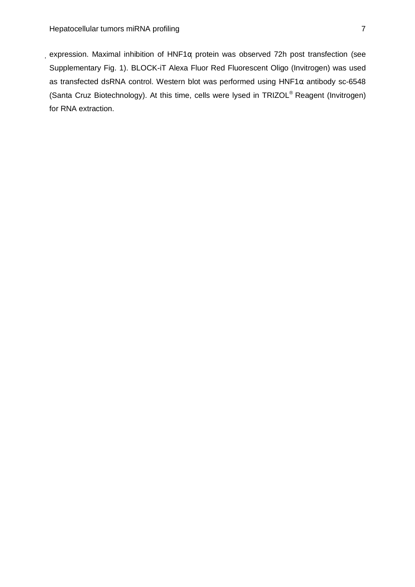expression. Maximal inhibition of HNF1α protein was observed 72h post transfection (see Supplementary Fig. 1). BLOCK-iT Alexa Fluor Red Fluorescent Oligo (Invitrogen) was used as transfected dsRNA control. Western blot was performed using  $HNF1\alpha$  antibody sc-6548 (Santa Cruz Biotechnology). At this time, cells were lysed in TRIZOL® Reagent (Invitrogen) for RNA extraction.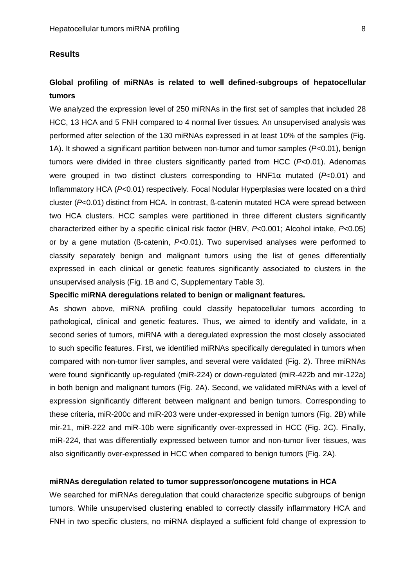#### **Results**

## **Global profiling of miRNAs is related to well defined-subgroups of hepatocellular tumors**

We analyzed the expression level of 250 miRNAs in the first set of samples that included 28 HCC, 13 HCA and 5 FNH compared to 4 normal liver tissues. An unsupervised analysis was performed after selection of the 130 miRNAs expressed in at least 10% of the samples (Fig. 1A). It showed a significant partition between non-tumor and tumor samples  $(P<0.01)$ , benign tumors were divided in three clusters significantly parted from HCC ( $P<0.01$ ). Adenomas were grouped in two distinct clusters corresponding to  $HNF1\alpha$  mutated ( $P<0.01$ ) and Inflammatory HCA (P<0.01) respectively. Focal Nodular Hyperplasias were located on a third cluster (P<0.01) distinct from HCA. In contrast, ß-catenin mutated HCA were spread between two HCA clusters. HCC samples were partitioned in three different clusters significantly characterized either by a specific clinical risk factor (HBV, P<0.001; Alcohol intake, P<0.05) or by a gene mutation (ß-catenin, P<0.01). Two supervised analyses were performed to classify separately benign and malignant tumors using the list of genes differentially expressed in each clinical or genetic features significantly associated to clusters in the unsupervised analysis (Fig. 1B and C, Supplementary Table 3).

#### **Specific miRNA deregulations related to benign or malignant features.**

As shown above, miRNA profiling could classify hepatocellular tumors according to pathological, clinical and genetic features. Thus, we aimed to identify and validate, in a second series of tumors, miRNA with a deregulated expression the most closely associated to such specific features. First, we identified miRNAs specifically deregulated in tumors when compared with non-tumor liver samples, and several were validated (Fig. 2). Three miRNAs were found significantly up-regulated (miR-224) or down-regulated (miR-422b and mir-122a) in both benign and malignant tumors (Fig. 2A). Second, we validated miRNAs with a level of expression significantly different between malignant and benign tumors. Corresponding to these criteria, miR-200c and miR-203 were under-expressed in benign tumors (Fig. 2B) while mir-21, miR-222 and miR-10b were significantly over-expressed in HCC (Fig. 2C). Finally, miR-224, that was differentially expressed between tumor and non-tumor liver tissues, was also significantly over-expressed in HCC when compared to benign tumors (Fig. 2A).

#### **miRNAs deregulation related to tumor suppressor/oncogene mutations in HCA**

We searched for miRNAs deregulation that could characterize specific subgroups of benign tumors. While unsupervised clustering enabled to correctly classify inflammatory HCA and FNH in two specific clusters, no miRNA displayed a sufficient fold change of expression to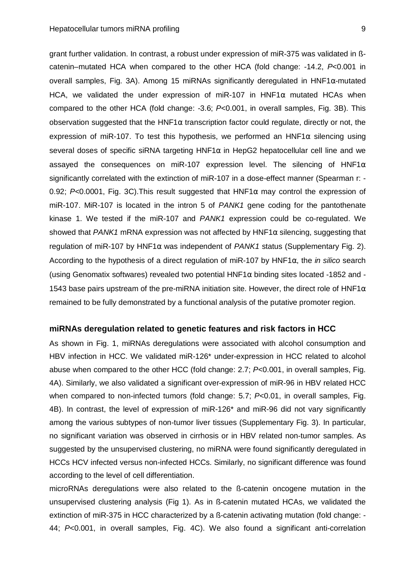grant further validation. In contrast, a robust under expression of miR-375 was validated in ßcatenin–mutated HCA when compared to the other HCA (fold change: -14.2, P<0.001 in overall samples, Fig. 3A). Among 15 miRNAs significantly deregulated in HNF1 $\alpha$ -mutated HCA, we validated the under expression of miR-107 in HNF1 $\alpha$  mutated HCAs when compared to the other HCA (fold change: -3.6; P<0.001, in overall samples, Fig. 3B). This observation suggested that the HNF1 $\alpha$  transcription factor could regulate, directly or not, the expression of miR-107. To test this hypothesis, we performed an HNF1 $\alpha$  silencing using several doses of specific siRNA targeting  $HNF1\alpha$  in HepG2 hepatocellular cell line and we assayed the consequences on miR-107 expression level. The silencing of HNF1 $\alpha$ significantly correlated with the extinction of miR-107 in a dose-effect manner (Spearman r: -0.92; P<0.0001, Fig. 3C). This result suggested that  $HNF1\alpha$  may control the expression of miR-107. MiR-107 is located in the intron 5 of PANK1 gene coding for the pantothenate kinase 1. We tested if the miR-107 and PANK1 expression could be co-regulated. We showed that PANK1 mRNA expression was not affected by HNF1 $\alpha$  silencing, suggesting that regulation of miR-107 by HNF1 $\alpha$  was independent of PANK1 status (Supplementary Fig. 2). According to the hypothesis of a direct regulation of miR-107 by HNF1 $\alpha$ , the *in silico* search (using Genomatix softwares) revealed two potential HNF1α binding sites located -1852 and - 1543 base pairs upstream of the pre-miRNA initiation site. However, the direct role of HNF1 $\alpha$ remained to be fully demonstrated by a functional analysis of the putative promoter region.

#### **miRNAs deregulation related to genetic features and risk factors in HCC**

As shown in Fig. 1, miRNAs deregulations were associated with alcohol consumption and HBV infection in HCC. We validated miR-126\* under-expression in HCC related to alcohol abuse when compared to the other HCC (fold change: 2.7; P<0.001, in overall samples, Fig. 4A). Similarly, we also validated a significant over-expression of miR-96 in HBV related HCC when compared to non-infected tumors (fold change: 5.7; P<0.01, in overall samples, Fig. 4B). In contrast, the level of expression of miR-126\* and miR-96 did not vary significantly among the various subtypes of non-tumor liver tissues (Supplementary Fig. 3). In particular, no significant variation was observed in cirrhosis or in HBV related non-tumor samples. As suggested by the unsupervised clustering, no miRNA were found significantly deregulated in HCCs HCV infected versus non-infected HCCs. Similarly, no significant difference was found according to the level of cell differentiation.

microRNAs deregulations were also related to the ß-catenin oncogene mutation in the unsupervised clustering analysis (Fig 1). As in ß-catenin mutated HCAs, we validated the extinction of miR-375 in HCC characterized by a ß-catenin activating mutation (fold change: - 44; P<0.001, in overall samples, Fig. 4C). We also found a significant anti-correlation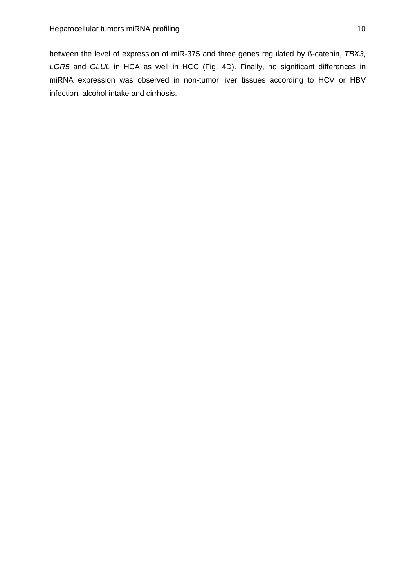between the level of expression of miR-375 and three genes regulated by ß-catenin, TBX3, LGR5 and GLUL in HCA as well in HCC (Fig. 4D). Finally, no significant differences in miRNA expression was observed in non-tumor liver tissues according to HCV or HBV infection, alcohol intake and cirrhosis.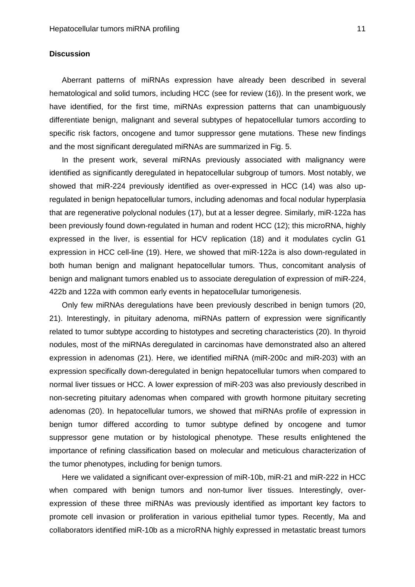#### **Discussion**

Aberrant patterns of miRNAs expression have already been described in several hematological and solid tumors, including HCC (see for review (16)). In the present work, we have identified, for the first time, miRNAs expression patterns that can unambiguously differentiate benign, malignant and several subtypes of hepatocellular tumors according to specific risk factors, oncogene and tumor suppressor gene mutations. These new findings and the most significant deregulated miRNAs are summarized in Fig. 5.

In the present work, several miRNAs previously associated with malignancy were identified as significantly deregulated in hepatocellular subgroup of tumors. Most notably, we showed that miR-224 previously identified as over-expressed in HCC (14) was also upregulated in benign hepatocellular tumors, including adenomas and focal nodular hyperplasia that are regenerative polyclonal nodules (17), but at a lesser degree. Similarly, miR-122a has been previously found down-regulated in human and rodent HCC (12); this microRNA, highly expressed in the liver, is essential for HCV replication (18) and it modulates cyclin G1 expression in HCC cell-line (19). Here, we showed that miR-122a is also down-regulated in both human benign and malignant hepatocellular tumors. Thus, concomitant analysis of benign and malignant tumors enabled us to associate deregulation of expression of miR-224, 422b and 122a with common early events in hepatocellular tumorigenesis.

Only few miRNAs deregulations have been previously described in benign tumors (20, 21). Interestingly, in pituitary adenoma, miRNAs pattern of expression were significantly related to tumor subtype according to histotypes and secreting characteristics (20). In thyroid nodules, most of the miRNAs deregulated in carcinomas have demonstrated also an altered expression in adenomas (21). Here, we identified miRNA (miR-200c and miR-203) with an expression specifically down-deregulated in benign hepatocellular tumors when compared to normal liver tissues or HCC. A lower expression of miR-203 was also previously described in non-secreting pituitary adenomas when compared with growth hormone pituitary secreting adenomas (20). In hepatocellular tumors, we showed that miRNAs profile of expression in benign tumor differed according to tumor subtype defined by oncogene and tumor suppressor gene mutation or by histological phenotype. These results enlightened the importance of refining classification based on molecular and meticulous characterization of the tumor phenotypes, including for benign tumors.

Here we validated a significant over-expression of miR-10b, miR-21 and miR-222 in HCC when compared with benign tumors and non-tumor liver tissues. Interestingly, overexpression of these three miRNAs was previously identified as important key factors to promote cell invasion or proliferation in various epithelial tumor types. Recently, Ma and collaborators identified miR-10b as a microRNA highly expressed in metastatic breast tumors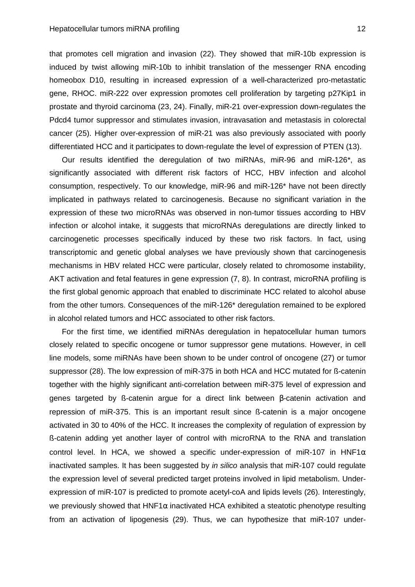that promotes cell migration and invasion (22). They showed that miR-10b expression is induced by twist allowing miR-10b to inhibit translation of the messenger RNA encoding homeobox D10, resulting in increased expression of a well-characterized pro-metastatic gene, RHOC. miR-222 over expression promotes cell proliferation by targeting p27Kip1 in prostate and thyroid carcinoma (23, 24). Finally, miR-21 over-expression down-regulates the Pdcd4 tumor suppressor and stimulates invasion, intravasation and metastasis in colorectal cancer (25). Higher over-expression of miR-21 was also previously associated with poorly differentiated HCC and it participates to down-regulate the level of expression of PTEN (13).

Our results identified the deregulation of two miRNAs, miR-96 and miR-126\*, as significantly associated with different risk factors of HCC, HBV infection and alcohol consumption, respectively. To our knowledge, miR-96 and miR-126\* have not been directly implicated in pathways related to carcinogenesis. Because no significant variation in the expression of these two microRNAs was observed in non-tumor tissues according to HBV infection or alcohol intake, it suggests that microRNAs deregulations are directly linked to carcinogenetic processes specifically induced by these two risk factors. In fact, using transcriptomic and genetic global analyses we have previously shown that carcinogenesis mechanisms in HBV related HCC were particular, closely related to chromosome instability, AKT activation and fetal features in gene expression (7, 8). In contrast, microRNA profiling is the first global genomic approach that enabled to discriminate HCC related to alcohol abuse from the other tumors. Consequences of the miR-126\* deregulation remained to be explored in alcohol related tumors and HCC associated to other risk factors.

For the first time, we identified miRNAs deregulation in hepatocellular human tumors closely related to specific oncogene or tumor suppressor gene mutations. However, in cell line models, some miRNAs have been shown to be under control of oncogene (27) or tumor suppressor (28). The low expression of miR-375 in both HCA and HCC mutated for ß-catenin together with the highly significant anti-correlation between miR-375 level of expression and genes targeted by ß-catenin argue for a direct link between β-catenin activation and repression of miR-375. This is an important result since ß-catenin is a major oncogene activated in 30 to 40% of the HCC. It increases the complexity of regulation of expression by ß-catenin adding yet another layer of control with microRNA to the RNA and translation control level. In HCA, we showed a specific under-expression of miR-107 in HNF1 $\alpha$ inactivated samples. It has been suggested by in silico analysis that miR-107 could regulate the expression level of several predicted target proteins involved in lipid metabolism. Underexpression of miR-107 is predicted to promote acetyl-coA and lipids levels (26). Interestingly, we previously showed that  $HNF1\alpha$  inactivated HCA exhibited a steatotic phenotype resulting from an activation of lipogenesis (29). Thus, we can hypothesize that miR-107 under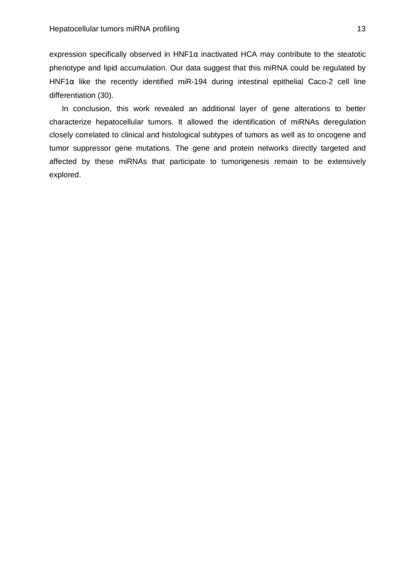expression specifically observed in HNF1 $\alpha$  inactivated HCA may contribute to the steatotic phenotype and lipid accumulation. Our data suggest that this miRNA could be regulated by HNF1 $\alpha$  like the recently identified miR-194 during intestinal epithelial Caco-2 cell line differentiation (30).

In conclusion, this work revealed an additional layer of gene alterations to better characterize hepatocellular tumors. It allowed the identification of miRNAs deregulation closely correlated to clinical and histological subtypes of tumors as well as to oncogene and tumor suppressor gene mutations. The gene and protein networks directly targeted and affected by these miRNAs that participate to tumorigenesis remain to be extensively explored.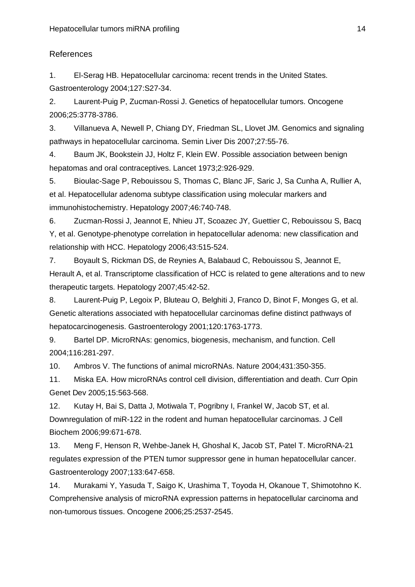## References

1. El-Serag HB. Hepatocellular carcinoma: recent trends in the United States. Gastroenterology 2004;127:S27-34.

2. Laurent-Puig P, Zucman-Rossi J. Genetics of hepatocellular tumors. Oncogene 2006;25:3778-3786.

3. Villanueva A, Newell P, Chiang DY, Friedman SL, Llovet JM. Genomics and signaling pathways in hepatocellular carcinoma. Semin Liver Dis 2007;27:55-76.

4. Baum JK, Bookstein JJ, Holtz F, Klein EW. Possible association between benign hepatomas and oral contraceptives. Lancet 1973;2:926-929.

5. Bioulac-Sage P, Rebouissou S, Thomas C, Blanc JF, Saric J, Sa Cunha A, Rullier A, et al. Hepatocellular adenoma subtype classification using molecular markers and immunohistochemistry. Hepatology 2007;46:740-748.

6. Zucman-Rossi J, Jeannot E, Nhieu JT, Scoazec JY, Guettier C, Rebouissou S, Bacq Y, et al. Genotype-phenotype correlation in hepatocellular adenoma: new classification and relationship with HCC. Hepatology 2006;43:515-524.

7. Boyault S, Rickman DS, de Reynies A, Balabaud C, Rebouissou S, Jeannot E, Herault A, et al. Transcriptome classification of HCC is related to gene alterations and to new therapeutic targets. Hepatology 2007;45:42-52.

8. Laurent-Puig P, Legoix P, Bluteau O, Belghiti J, Franco D, Binot F, Monges G, et al. Genetic alterations associated with hepatocellular carcinomas define distinct pathways of hepatocarcinogenesis. Gastroenterology 2001;120:1763-1773.

9. Bartel DP. MicroRNAs: genomics, biogenesis, mechanism, and function. Cell 2004;116:281-297.

10. Ambros V. The functions of animal microRNAs. Nature 2004;431:350-355.

11. Miska EA. How microRNAs control cell division, differentiation and death. Curr Opin Genet Dev 2005;15:563-568.

12. Kutay H, Bai S, Datta J, Motiwala T, Pogribny I, Frankel W, Jacob ST, et al. Downregulation of miR-122 in the rodent and human hepatocellular carcinomas. J Cell Biochem 2006;99:671-678.

13. Meng F, Henson R, Wehbe-Janek H, Ghoshal K, Jacob ST, Patel T. MicroRNA-21 regulates expression of the PTEN tumor suppressor gene in human hepatocellular cancer. Gastroenterology 2007;133:647-658.

14. Murakami Y, Yasuda T, Saigo K, Urashima T, Toyoda H, Okanoue T, Shimotohno K. Comprehensive analysis of microRNA expression patterns in hepatocellular carcinoma and non-tumorous tissues. Oncogene 2006;25:2537-2545.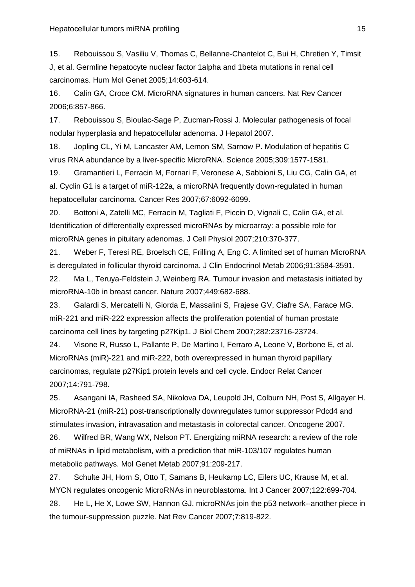15. Rebouissou S, Vasiliu V, Thomas C, Bellanne-Chantelot C, Bui H, Chretien Y, Timsit J, et al. Germline hepatocyte nuclear factor 1alpha and 1beta mutations in renal cell carcinomas. Hum Mol Genet 2005;14:603-614.

16. Calin GA, Croce CM. MicroRNA signatures in human cancers. Nat Rev Cancer 2006;6:857-866.

17. Rebouissou S, Bioulac-Sage P, Zucman-Rossi J. Molecular pathogenesis of focal nodular hyperplasia and hepatocellular adenoma. J Hepatol 2007.

18. Jopling CL, Yi M, Lancaster AM, Lemon SM, Sarnow P. Modulation of hepatitis C virus RNA abundance by a liver-specific MicroRNA. Science 2005;309:1577-1581.

19. Gramantieri L, Ferracin M, Fornari F, Veronese A, Sabbioni S, Liu CG, Calin GA, et al. Cyclin G1 is a target of miR-122a, a microRNA frequently down-regulated in human hepatocellular carcinoma. Cancer Res 2007;67:6092-6099.

20. Bottoni A, Zatelli MC, Ferracin M, Tagliati F, Piccin D, Vignali C, Calin GA, et al. Identification of differentially expressed microRNAs by microarray: a possible role for microRNA genes in pituitary adenomas. J Cell Physiol 2007;210:370-377.

21. Weber F, Teresi RE, Broelsch CE, Frilling A, Eng C. A limited set of human MicroRNA is deregulated in follicular thyroid carcinoma. J Clin Endocrinol Metab 2006;91:3584-3591.

22. Ma L, Teruya-Feldstein J, Weinberg RA. Tumour invasion and metastasis initiated by microRNA-10b in breast cancer. Nature 2007;449:682-688.

23. Galardi S, Mercatelli N, Giorda E, Massalini S, Frajese GV, Ciafre SA, Farace MG. miR-221 and miR-222 expression affects the proliferation potential of human prostate carcinoma cell lines by targeting p27Kip1. J Biol Chem 2007;282:23716-23724.

24. Visone R, Russo L, Pallante P, De Martino I, Ferraro A, Leone V, Borbone E, et al. MicroRNAs (miR)-221 and miR-222, both overexpressed in human thyroid papillary carcinomas, regulate p27Kip1 protein levels and cell cycle. Endocr Relat Cancer 2007;14:791-798.

25. Asangani IA, Rasheed SA, Nikolova DA, Leupold JH, Colburn NH, Post S, Allgayer H. MicroRNA-21 (miR-21) post-transcriptionally downregulates tumor suppressor Pdcd4 and stimulates invasion, intravasation and metastasis in colorectal cancer. Oncogene 2007.

26. Wilfred BR, Wang WX, Nelson PT. Energizing miRNA research: a review of the role of miRNAs in lipid metabolism, with a prediction that miR-103/107 regulates human metabolic pathways. Mol Genet Metab 2007;91:209-217.

27. Schulte JH, Horn S, Otto T, Samans B, Heukamp LC, Eilers UC, Krause M, et al. MYCN regulates oncogenic MicroRNAs in neuroblastoma. Int J Cancer 2007;122:699-704.

28. He L, He X, Lowe SW, Hannon GJ. microRNAs join the p53 network--another piece in the tumour-suppression puzzle. Nat Rev Cancer 2007;7:819-822.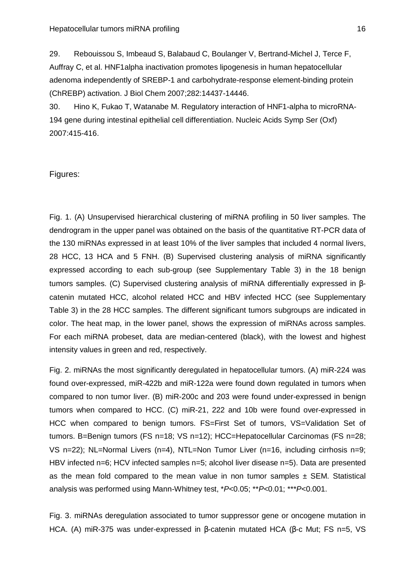29. Rebouissou S, Imbeaud S, Balabaud C, Boulanger V, Bertrand-Michel J, Terce F, Auffray C, et al. HNF1alpha inactivation promotes lipogenesis in human hepatocellular adenoma independently of SREBP-1 and carbohydrate-response element-binding protein (ChREBP) activation. J Biol Chem 2007;282:14437-14446.

30. Hino K, Fukao T, Watanabe M. Regulatory interaction of HNF1-alpha to microRNA-194 gene during intestinal epithelial cell differentiation. Nucleic Acids Symp Ser (Oxf) 2007:415-416.

#### Figures:

Fig. 1. (A) Unsupervised hierarchical clustering of miRNA profiling in 50 liver samples. The dendrogram in the upper panel was obtained on the basis of the quantitative RT-PCR data of the 130 miRNAs expressed in at least 10% of the liver samples that included 4 normal livers, 28 HCC, 13 HCA and 5 FNH. (B) Supervised clustering analysis of miRNA significantly expressed according to each sub-group (see Supplementary Table 3) in the 18 benign tumors samples. (C) Supervised clustering analysis of miRNA differentially expressed in βcatenin mutated HCC, alcohol related HCC and HBV infected HCC (see Supplementary Table 3) in the 28 HCC samples. The different significant tumors subgroups are indicated in color. The heat map, in the lower panel, shows the expression of miRNAs across samples. For each miRNA probeset, data are median-centered (black), with the lowest and highest intensity values in green and red, respectively.

Fig. 2. miRNAs the most significantly deregulated in hepatocellular tumors. (A) miR-224 was found over-expressed, miR-422b and miR-122a were found down regulated in tumors when compared to non tumor liver. (B) miR-200c and 203 were found under-expressed in benign tumors when compared to HCC. (C) miR-21, 222 and 10b were found over-expressed in HCC when compared to benign tumors. FS=First Set of tumors, VS=Validation Set of tumors. B=Benign tumors (FS n=18; VS n=12); HCC=Hepatocellular Carcinomas (FS n=28; VS n=22); NL=Normal Livers (n=4), NTL=Non Tumor Liver (n=16, including cirrhosis n=9; HBV infected n=6; HCV infected samples n=5; alcohol liver disease n=5). Data are presented as the mean fold compared to the mean value in non tumor samples  $\pm$  SEM. Statistical analysis was performed using Mann-Whitney test, \*P<0.05; \*\*P<0.01; \*\*\*P<0.001.

Fig. 3. miRNAs deregulation associated to tumor suppressor gene or oncogene mutation in HCA. (A) miR-375 was under-expressed in β-catenin mutated HCA (β-c Mut; FS n=5, VS